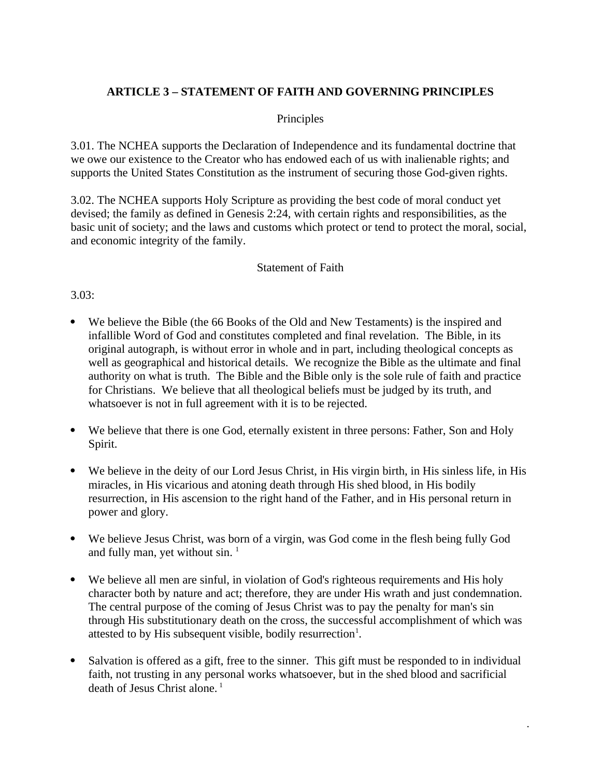# **ARTICLE 3 – STATEMENT OF FAITH AND GOVERNING PRINCIPLES**

### Principles

3.01. The NCHEA supports the Declaration of Independence and its fundamental doctrine that we owe our existence to the Creator who has endowed each of us with inalienable rights; and supports the United States Constitution as the instrument of securing those God-given rights.

3.02. The NCHEA supports Holy Scripture as providing the best code of moral conduct yet devised; the family as defined in Genesis 2:24, with certain rights and responsibilities, as the basic unit of society; and the laws and customs which protect or tend to protect the moral, social, and economic integrity of the family.

#### Statement of Faith

#### 3.03:

- We believe the Bible (the 66 Books of the Old and New Testaments) is the inspired and infallible Word of God and constitutes completed and final revelation. The Bible, in its original autograph, is without error in whole and in part, including theological concepts as well as geographical and historical details. We recognize the Bible as the ultimate and final authority on what is truth. The Bible and the Bible only is the sole rule of faith and practice for Christians. We believe that all theological beliefs must be judged by its truth, and whatsoever is not in full agreement with it is to be rejected.
- We believe that there is one God, eternally existent in three persons: Father, Son and Holy Spirit.
- We believe in the deity of our Lord Jesus Christ, in His virgin birth, in His sinless life, in His miracles, in His vicarious and atoning death through His shed blood, in His bodily resurrection, in His ascension to the right hand of the Father, and in His personal return in power and glory.
- We believe Jesus Christ, was born of a virgin, was God come in the flesh being fully God and fully man, yet without  $sin<sup>1</sup>$
- We believe all men are sinful, in violation of God's righteous requirements and His holy character both by nature and act; therefore, they are under His wrath and just condemnation. The central purpose of the coming of Jesus Christ was to pay the penalty for man's sin through His substitutionary death on the cross, the successful accomplishment of which was attested to by His subsequent visible, bodily resurrection $^1$ .
- Salvation is offered as a gift, free to the sinner. This gift must be responded to in individual faith, not trusting in any personal works whatsoever, but in the shed blood and sacrificial death of Jesus Christ alone.<sup>1</sup>

*.*